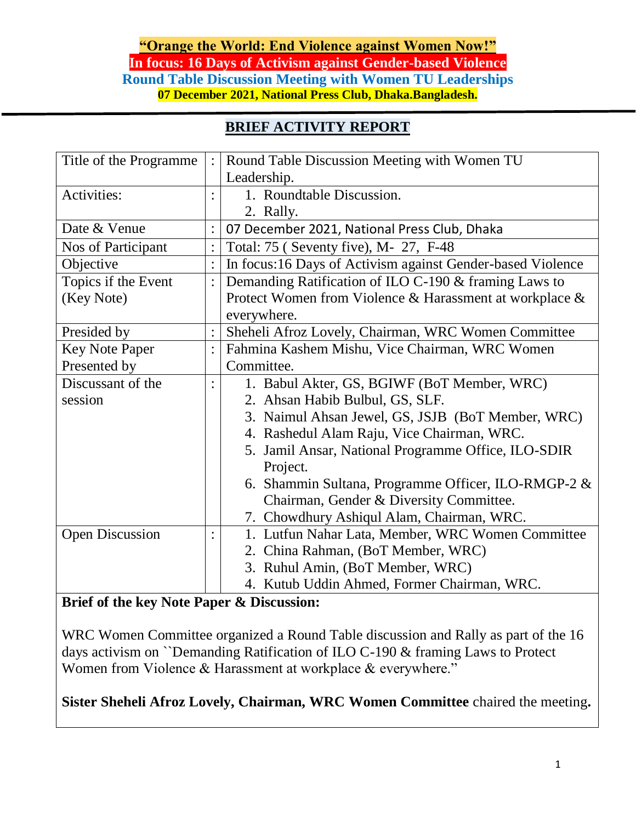#### **"Orange the World: End Violence against Women Now!" In focus: 16 Days of Activism against Gender-based Violence Round Table Discussion Meeting with Women TU Leaderships 07 December 2021, National Press Club, Dhaka.Bangladesh.**

### **BRIEF ACTIVITY REPORT**

| Title of the Programme | Round Table Discussion Meeting with Women TU               |
|------------------------|------------------------------------------------------------|
|                        | Leadership.                                                |
| Activities:            | 1. Roundtable Discussion.                                  |
|                        | 2. Rally.                                                  |
| Date & Venue           | 07 December 2021, National Press Club, Dhaka               |
| Nos of Participant     | Total: 75 ( Seventy five), M- 27, F-48                     |
| Objective              | In focus:16 Days of Activism against Gender-based Violence |
| Topics if the Event    | Demanding Ratification of ILO C-190 & framing Laws to      |
| (Key Note)             | Protect Women from Violence & Harassment at workplace &    |
|                        | everywhere.                                                |
| Presided by            | Sheheli Afroz Lovely, Chairman, WRC Women Committee        |
| <b>Key Note Paper</b>  | Fahmina Kashem Mishu, Vice Chairman, WRC Women             |
| Presented by           | Committee.                                                 |
| Discussant of the      | 1. Babul Akter, GS, BGIWF (BoT Member, WRC)                |
| session                | 2. Ahsan Habib Bulbul, GS, SLF.                            |
|                        | 3. Naimul Ahsan Jewel, GS, JSJB (BoT Member, WRC)          |
|                        | 4. Rashedul Alam Raju, Vice Chairman, WRC.                 |
|                        | 5. Jamil Ansar, National Programme Office, ILO-SDIR        |
|                        | Project.                                                   |
|                        | 6. Shammin Sultana, Programme Officer, ILO-RMGP-2 &        |
|                        | Chairman, Gender & Diversity Committee.                    |
|                        | 7. Chowdhury Ashiqul Alam, Chairman, WRC.                  |
| <b>Open Discussion</b> | 1. Lutfun Nahar Lata, Member, WRC Women Committee          |
|                        | 2. China Rahman, (BoT Member, WRC)                         |
|                        | 3. Ruhul Amin, (BoT Member, WRC)                           |
|                        | 4. Kutub Uddin Ahmed, Former Chairman, WRC.                |

#### **Brief of the key Note Paper & Discussion:**

WRC Women Committee organized a Round Table discussion and Rally as part of the 16 days activism on ``Demanding Ratification of ILO C-190 & framing Laws to Protect Women from Violence & Harassment at workplace & everywhere."

**Sister Sheheli Afroz Lovely, Chairman, WRC Women Committee** chaired the meeting**.**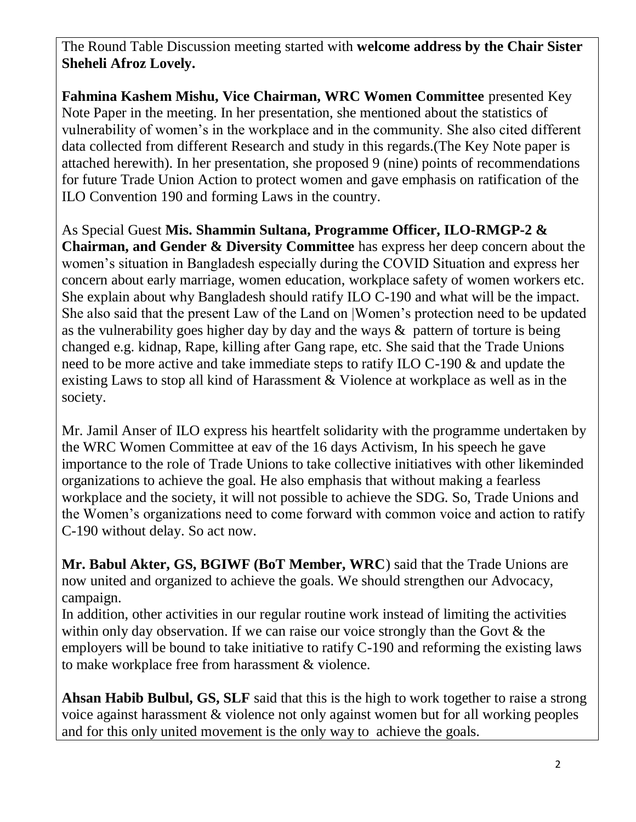The Round Table Discussion meeting started with **welcome address by the Chair Sister Sheheli Afroz Lovely.**

**Fahmina Kashem Mishu, Vice Chairman, WRC Women Committee** presented Key Note Paper in the meeting. In her presentation, she mentioned about the statistics of vulnerability of women's in the workplace and in the community. She also cited different data collected from different Research and study in this regards.(The Key Note paper is attached herewith). In her presentation, she proposed 9 (nine) points of recommendations for future Trade Union Action to protect women and gave emphasis on ratification of the ILO Convention 190 and forming Laws in the country.

As Special Guest **Mis. Shammin Sultana, Programme Officer, ILO-RMGP-2 & Chairman, and Gender & Diversity Committee** has express her deep concern about the women's situation in Bangladesh especially during the COVID Situation and express her concern about early marriage, women education, workplace safety of women workers etc. She explain about why Bangladesh should ratify ILO C-190 and what will be the impact. She also said that the present Law of the Land on |Women's protection need to be updated as the vulnerability goes higher day by day and the ways & pattern of torture is being changed e.g. kidnap, Rape, killing after Gang rape, etc. She said that the Trade Unions need to be more active and take immediate steps to ratify ILO C-190 & and update the existing Laws to stop all kind of Harassment & Violence at workplace as well as in the society.

Mr. Jamil Anser of ILO express his heartfelt solidarity with the programme undertaken by the WRC Women Committee at eav of the 16 days Activism, In his speech he gave importance to the role of Trade Unions to take collective initiatives with other likeminded organizations to achieve the goal. He also emphasis that without making a fearless workplace and the society, it will not possible to achieve the SDG. So, Trade Unions and the Women's organizations need to come forward with common voice and action to ratify C-190 without delay. So act now.

**Mr. Babul Akter, GS, BGIWF (BoT Member, WRC**) said that the Trade Unions are now united and organized to achieve the goals. We should strengthen our Advocacy, campaign.

In addition, other activities in our regular routine work instead of limiting the activities within only day observation. If we can raise our voice strongly than the Govt & the employers will be bound to take initiative to ratify C-190 and reforming the existing laws to make workplace free from harassment & violence.

**Ahsan Habib Bulbul, GS, SLF** said that this is the high to work together to raise a strong voice against harassment & violence not only against women but for all working peoples and for this only united movement is the only way to achieve the goals.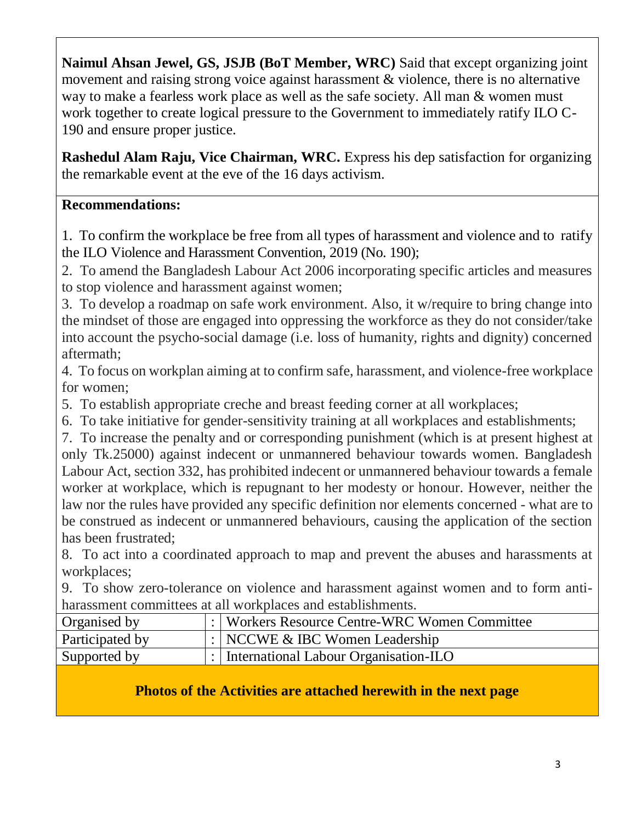**Naimul Ahsan Jewel, GS, JSJB (BoT Member, WRC)** Said that except organizing joint movement and raising strong voice against harassment & violence, there is no alternative way to make a fearless work place as well as the safe society. All man & women must work together to create logical pressure to the Government to immediately ratify ILO C-190 and ensure proper justice.

**Rashedul Alam Raju, Vice Chairman, WRC.** Express his dep satisfaction for organizing the remarkable event at the eve of the 16 days activism.

## **Recommendations:**

1. To confirm the workplace be free from all types of harassment and violence and to ratify the ILO Violence and Harassment Convention, 2019 (No. 190);

2. To amend the Bangladesh Labour Act 2006 incorporating specific articles and measures to stop violence and harassment against women;

3. To develop a roadmap on safe work environment. Also, it w/require to bring change into the mindset of those are engaged into oppressing the workforce as they do not consider/take into account the psycho-social damage (i.e. loss of humanity, rights and dignity) concerned aftermath;

4. To focus on workplan aiming at to confirm safe, harassment, and violence-free workplace for women;

5. To establish appropriate creche and breast feeding corner at all workplaces;

6. To take initiative for gender-sensitivity training at all workplaces and establishments;

7. To increase the penalty and or corresponding punishment (which is at present highest at only Tk.25000) against indecent or unmannered behaviour towards women. Bangladesh Labour Act, section 332, has prohibited indecent or unmannered behaviour towards a female worker at workplace, which is repugnant to her modesty or honour. However, neither the law nor the rules have provided any specific definition nor elements concerned - what are to be construed as indecent or unmannered behaviours, causing the application of the section has been frustrated;

8. To act into a coordinated approach to map and prevent the abuses and harassments at workplaces;

9. To show zero-tolerance on violence and harassment against women and to form antiharassment committees at all workplaces and establishments.

| Organised by    |  | :   Workers Resource Centre-WRC Women Committee |  |
|-----------------|--|-------------------------------------------------|--|
| Participated by |  | : $NCCWE \& IBC Women Leadership$               |  |
| Supported by    |  | :   International Labour Organisation-ILO       |  |
|                 |  |                                                 |  |

## **Photos of the Activities are attached herewith in the next page**